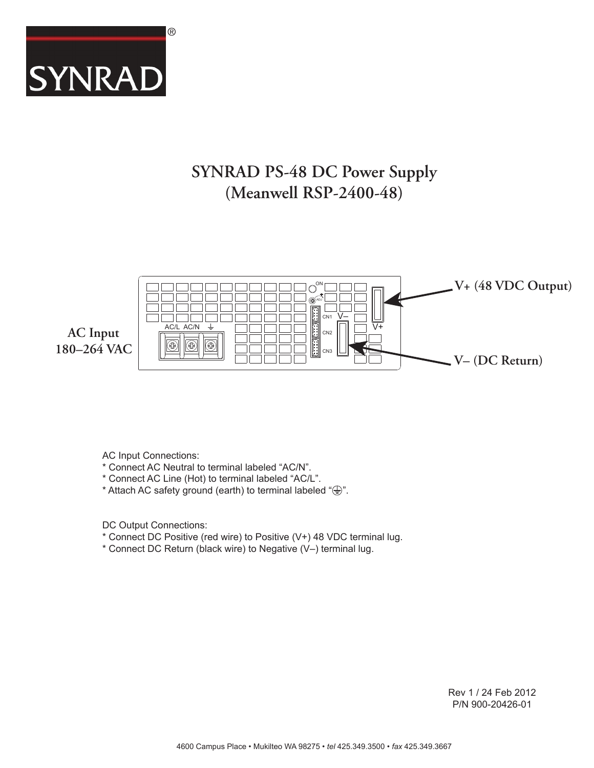

## **SYNRAD PS-48 DC Power Supply (Meanwell RSP-2400-48)**



AC Input Connections:

- \* Connect AC Neutral to terminal labeled "AC/N".
- \* Connect AC Line (Hot) to terminal labeled "AC/L".
- \* Attach AC safety ground (earth) to terminal labeled " $\bigoplus$ ".

DC Output Connections:

- \* Connect DC Positive (red wire) to Positive (V+) 48 VDC terminal lug.
- \* Connect DC Return (black wire) to Negative (V–) terminal lug.

Rev 1 / 24 Feb 2012 P/N 900-20426-01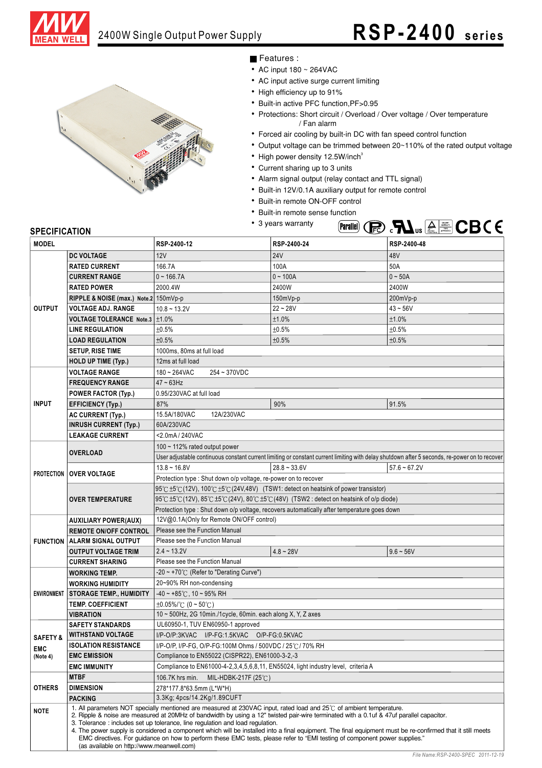



Features :

- AC input  $180 \sim 264$ VAC
- AC input active surge current limiting
- High efficiency up to 91%
- Built-in active PFC function, PF>0.95
- Protections: Short circuit / Overload / Over voltage / Over temperature / Fan alarm
- Forced air cooling by built-in DC with fan speed control function
- Output voltage can be trimmed between 20~110% of the rated output voltage
	- High power density 12.5W/inch<sup>3</sup>
- Current sharing up to 3 units
- Alarm signal output (relay contact and TTL signal)
- Built-in 12V/0.1A auxiliary output for remote control
- Built-in remote ON-OFF control
- Built-in remote sense function
- 3 years warranty



#### **SPECIFICATION**

| <b>MODEL</b>        |                                                    | RSP-2400-12                                                                                                                                                                                                                                                                              | RSP-2400-24    | RSP-2400-48                                                                                                                                   |  |  |  |  |  |
|---------------------|----------------------------------------------------|------------------------------------------------------------------------------------------------------------------------------------------------------------------------------------------------------------------------------------------------------------------------------------------|----------------|-----------------------------------------------------------------------------------------------------------------------------------------------|--|--|--|--|--|
| <b>DC VOLTAGE</b>   |                                                    | 12V                                                                                                                                                                                                                                                                                      | <b>24V</b>     | 48V                                                                                                                                           |  |  |  |  |  |
|                     | <b>RATED CURRENT</b>                               | 166.7A                                                                                                                                                                                                                                                                                   | 100A           | 50A                                                                                                                                           |  |  |  |  |  |
|                     | <b>CURRENT RANGE</b>                               | $0 - 166.7A$                                                                                                                                                                                                                                                                             | $0 - 100A$     | $0 - 50A$                                                                                                                                     |  |  |  |  |  |
|                     | <b>RATED POWER</b>                                 | 2000.4W                                                                                                                                                                                                                                                                                  | 2400W          | 2400W                                                                                                                                         |  |  |  |  |  |
|                     | RIPPLE & NOISE (max.) Note.2 150mVp-p              |                                                                                                                                                                                                                                                                                          | 150mVp-p       | 200mVp-p                                                                                                                                      |  |  |  |  |  |
| <b>OUTPUT</b>       | <b>VOLTAGE ADJ. RANGE</b>                          | $10.8 - 13.2V$                                                                                                                                                                                                                                                                           | $22 - 28V$     | $43 - 56V$                                                                                                                                    |  |  |  |  |  |
|                     | VOLTAGE TOLERANCE Note.3   ±1.0%                   |                                                                                                                                                                                                                                                                                          | ±1.0%          | ±1.0%                                                                                                                                         |  |  |  |  |  |
|                     | <b>LINE REGULATION</b>                             | ±0.5%                                                                                                                                                                                                                                                                                    | ±0.5%          | ±0.5%                                                                                                                                         |  |  |  |  |  |
|                     | <b>LOAD REGULATION</b>                             | ±0.5%                                                                                                                                                                                                                                                                                    | ±0.5%          | ±0.5%                                                                                                                                         |  |  |  |  |  |
|                     | <b>SETUP, RISE TIME</b>                            | 1000ms, 80ms at full load                                                                                                                                                                                                                                                                |                |                                                                                                                                               |  |  |  |  |  |
|                     | <b>HOLD UP TIME (Typ.)</b>                         | 12ms at full load                                                                                                                                                                                                                                                                        |                |                                                                                                                                               |  |  |  |  |  |
|                     | <b>VOLTAGE RANGE</b>                               | 180~264VAC<br>254~370VDC                                                                                                                                                                                                                                                                 |                |                                                                                                                                               |  |  |  |  |  |
|                     | <b>FREQUENCY RANGE</b>                             | $47 \sim 63$ Hz                                                                                                                                                                                                                                                                          |                |                                                                                                                                               |  |  |  |  |  |
|                     | <b>POWER FACTOR (Typ.)</b>                         | 0.95/230VAC at full load                                                                                                                                                                                                                                                                 |                |                                                                                                                                               |  |  |  |  |  |
| <b>INPUT</b>        | <b>EFFICIENCY (Typ.)</b>                           | 87%                                                                                                                                                                                                                                                                                      | 90%            | 91.5%                                                                                                                                         |  |  |  |  |  |
|                     | <b>AC CURRENT (Typ.)</b>                           | 12A/230VAC<br>15.5A/180VAC                                                                                                                                                                                                                                                               |                |                                                                                                                                               |  |  |  |  |  |
|                     | <b>INRUSH CURRENT (Typ.)</b>                       | 60A/230VAC                                                                                                                                                                                                                                                                               |                |                                                                                                                                               |  |  |  |  |  |
|                     | <b>LEAKAGE CURRENT</b>                             | <2.0mA / 240VAC                                                                                                                                                                                                                                                                          |                |                                                                                                                                               |  |  |  |  |  |
|                     |                                                    | 100 $\sim$ 112% rated output power                                                                                                                                                                                                                                                       |                |                                                                                                                                               |  |  |  |  |  |
|                     | <b>OVERLOAD</b>                                    |                                                                                                                                                                                                                                                                                          |                | User adjustable continuous constant current limiting or constant current limiting with delay shutdown after 5 seconds, re-power on to recover |  |  |  |  |  |
|                     |                                                    | $13.8 - 16.8V$                                                                                                                                                                                                                                                                           | $28.8 - 33.6V$ | $57.6 - 67.2V$                                                                                                                                |  |  |  |  |  |
|                     | <b>PROTECTION   OVER VOLTAGE</b>                   | Protection type : Shut down o/p voltage, re-power on to recover                                                                                                                                                                                                                          |                |                                                                                                                                               |  |  |  |  |  |
|                     |                                                    | 95°C ±5°C (12V), 100°C ±5°C (24V,48V) (TSW1: detect on heatsink of power transistor)                                                                                                                                                                                                     |                |                                                                                                                                               |  |  |  |  |  |
|                     | <b>OVER TEMPERATURE</b>                            | 95°C ±5°C (12V), 85°C ±5°C (24V), 80°C ±5°C (48V) (TSW2 : detect on heatsink of o/p diode)                                                                                                                                                                                               |                |                                                                                                                                               |  |  |  |  |  |
|                     |                                                    | Protection type : Shut down o/p voltage, recovers automatically after temperature goes down                                                                                                                                                                                              |                |                                                                                                                                               |  |  |  |  |  |
|                     | <b>AUXILIARY POWER(AUX)</b>                        | 12V@0.1A(Only for Remote ON/OFF control)                                                                                                                                                                                                                                                 |                |                                                                                                                                               |  |  |  |  |  |
|                     | <b>REMOTE ON/OFF CONTROL</b>                       | Please see the Function Manual                                                                                                                                                                                                                                                           |                |                                                                                                                                               |  |  |  |  |  |
|                     | <b>FUNCTION   ALARM SIGNAL OUTPUT</b>              | Please see the Function Manual                                                                                                                                                                                                                                                           |                |                                                                                                                                               |  |  |  |  |  |
|                     | <b>OUTPUT VOLTAGE TRIM</b>                         | $2.4 - 13.2V$                                                                                                                                                                                                                                                                            | $4.8 - 28V$    | $9.6 - 56V$                                                                                                                                   |  |  |  |  |  |
|                     | <b>CURRENT SHARING</b>                             | Please see the Function Manual                                                                                                                                                                                                                                                           |                |                                                                                                                                               |  |  |  |  |  |
|                     | <b>WORKING TEMP.</b>                               | -20 ~ +70° $\mathrm{C}$ (Refer to "Derating Curve")                                                                                                                                                                                                                                      |                |                                                                                                                                               |  |  |  |  |  |
|                     | <b>WORKING HUMIDITY</b>                            | 20~90% RH non-condensing                                                                                                                                                                                                                                                                 |                |                                                                                                                                               |  |  |  |  |  |
| <b>ENVIRONMENT</b>  | <b>STORAGE TEMP., HUMIDITY</b>                     | $-40 \sim +85^{\circ}$ C, 10 ~ 95% RH                                                                                                                                                                                                                                                    |                |                                                                                                                                               |  |  |  |  |  |
|                     | <b>TEMP. COEFFICIENT</b>                           | $\pm 0.05\%$ /°C (0~50°C)                                                                                                                                                                                                                                                                |                |                                                                                                                                               |  |  |  |  |  |
|                     | <b>VIBRATION</b>                                   | 10 ~ 500Hz, 2G 10min./1cycle, 60min. each along X, Y, Z axes                                                                                                                                                                                                                             |                |                                                                                                                                               |  |  |  |  |  |
|                     | <b>SAFETY STANDARDS</b>                            | UL60950-1, TUV EN60950-1 approved                                                                                                                                                                                                                                                        |                |                                                                                                                                               |  |  |  |  |  |
| <b>SAFETY &amp;</b> | <b>WITHSTAND VOLTAGE</b>                           | I/P-O/P:3KVAC I/P-FG:1.5KVAC O/P-FG:0.5KVAC<br>I/P-O/P, I/P-FG, O/P-FG:100M Ohms / 500VDC / 25℃/ 70% RH                                                                                                                                                                                  |                |                                                                                                                                               |  |  |  |  |  |
| EMC                 | <b>ISOLATION RESISTANCE</b><br><b>EMC EMISSION</b> |                                                                                                                                                                                                                                                                                          |                |                                                                                                                                               |  |  |  |  |  |
| (Note 4)            |                                                    | Compliance to EN55022 (CISPR22), EN61000-3-2,-3                                                                                                                                                                                                                                          |                |                                                                                                                                               |  |  |  |  |  |
|                     | <b>EMC IMMUNITY</b><br><b>MTBF</b>                 | Compliance to EN61000-4-2,3,4,5,6,8,11, EN55024, light industry level, criteria A                                                                                                                                                                                                        |                |                                                                                                                                               |  |  |  |  |  |
| <b>OTHERS</b>       | <b>DIMENSION</b>                                   | 106.7K hrs min.<br>MIL-HDBK-217F (25 $\degree$ C)                                                                                                                                                                                                                                        |                |                                                                                                                                               |  |  |  |  |  |
|                     |                                                    | 278*177.8*63.5mm (L*W*H)                                                                                                                                                                                                                                                                 |                |                                                                                                                                               |  |  |  |  |  |
|                     | <b>PACKING</b>                                     | 3.3Kg; 4pcs/14.2Kg/1.89CUFT<br>1. All parameters NOT specially mentioned are measured at 230VAC input, rated load and 25°C of ambient temperature.                                                                                                                                       |                |                                                                                                                                               |  |  |  |  |  |
| <b>NOTE</b>         |                                                    | 2. Ripple & noise are measured at 20MHz of bandwidth by using a 12" twisted pair-wire terminated with a 0.1uf & 47uf parallel capacitor.<br>3. Tolerance: includes set up tolerance, line regulation and load regulation.                                                                |                |                                                                                                                                               |  |  |  |  |  |
|                     | (as available on http://www.meanwell.com)          | 4. The power supply is considered a component which will be installed into a final equipment. The final equipment must be re-confirmed that it still meets<br>EMC directives. For quidance on how to perform these EMC tests, please refer to "EMI testing of component power supplies." |                |                                                                                                                                               |  |  |  |  |  |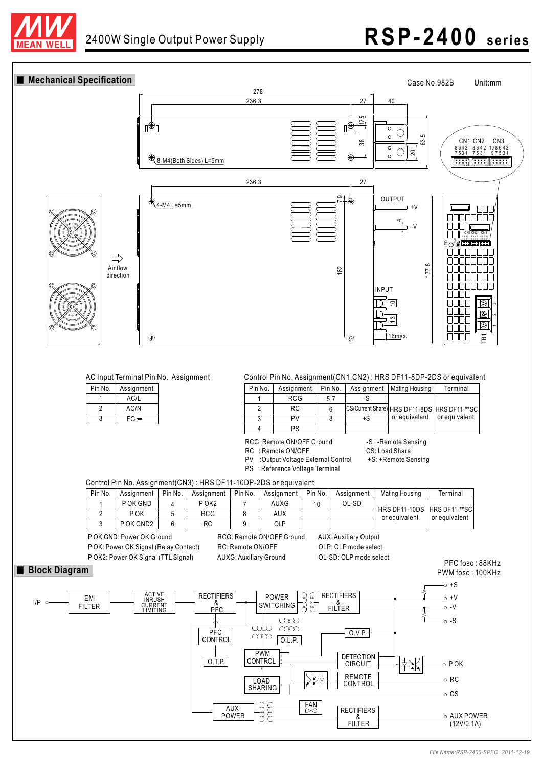

# 2400W Single Output Power Supply **RSP-2400** series



| Pin No. | Assignment |  |
|---------|------------|--|
|         | AC/L       |  |
| 2       | AC/N       |  |
| 3       | $FG \pm$   |  |

| Pin No. | Assignment | Pin No. |    | Assignment   Mating Housing   | Terminal                                       |
|---------|------------|---------|----|-------------------------------|------------------------------------------------|
|         | <b>RCG</b> | -5.7    |    |                               |                                                |
|         | RC.        |         |    |                               | CS(Current Share) HRS DF11-8DS   HRS DF11-**SC |
|         | PV         |         | +S | or equivalent   or equivalent |                                                |
|         | PS         |         |    |                               |                                                |

RCG: Remote ON/OFF Ground

- RC : Remote ON/OFF CS: Load Share
- PV : Output Voltage External Control +S: +Remote Sensing
- PS : Reference Voltage Terminal

-S : -Remote Sensing

Control Pin No. Assignment(CN3) : HRS DF11-10DP-2DS or equivalent

| Pin No. | Assianment | Pin No. | Assignment | Pin No. | Assignment | Pin No. | Assignment | Mating Housing                               | Terminal      |
|---------|------------|---------|------------|---------|------------|---------|------------|----------------------------------------------|---------------|
|         | P OK GND   |         | P OK2      |         | AUXG       | 10      | OL-SD      |                                              |               |
|         | P OK       |         | RCG        |         | AUX        |         |            | HRS DF11-10DS HRS DF11-**SC<br>or equivalent | or equivalent |
|         | P OK GND2  |         | RC         |         | OLP        |         |            |                                              |               |

P OK GND: Power OK Ground RCG: Remote ON/OFF Ground AUX: Auxiliary Output P OK: Power OK Signal (Relay Contact) RC: Remote ON/OFF OLP: OLP mode select

P OK2: Power OK Signal (TTL Signal) AUXG: Auxiliary Ground OL-SD: OLP mode select

PFC fosc : 88KHz

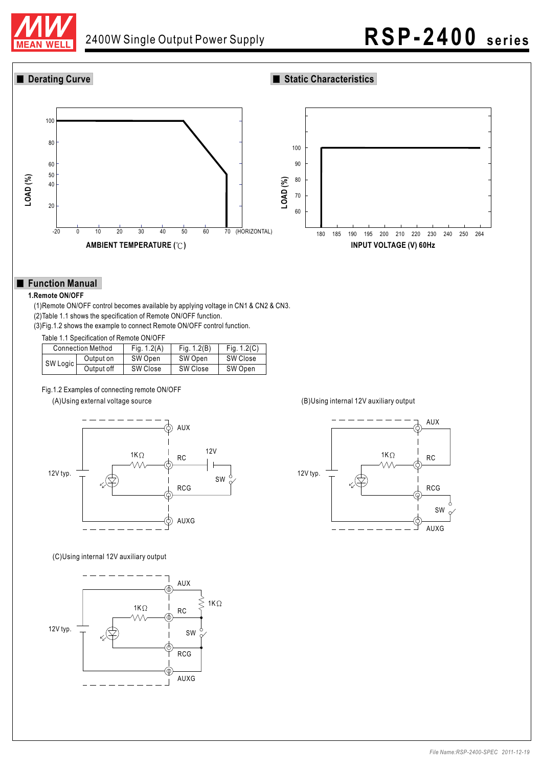

## 2400W Single Output Power Supply **RSP-2400** series

### **Derating Curve Static Characteristics**



### **Function Manual**

### **1.Remote ON/OFF**

(1)Remote ON/OFF control becomes available by applying voltage in CN1 & CN2 & CN3. (2)Table 1.1 shows the specification of Remote ON/OFF function.

(3)Fig.1.2 shows the example to connect Remote ON/OFF control function.

Table 1.1 Specification of Remote ON/OFF

|          | <b>Connection Method</b> | Fig. $1.2(A)$ | Fig. $1.2(B)$ | Fig. $1.2(C)$ |
|----------|--------------------------|---------------|---------------|---------------|
| SW Logic | Output on                | SW Open       | SW Open       | SW Close      |
|          | Output off               | SW Close      | SW Close      | SW Open       |

#### Fig.1.2 Examples of connecting remote ON/OFF



### (C)Using internal 12V auxiliary output



#### (A)Using external voltage source (B)Using internal 12V auxiliary output

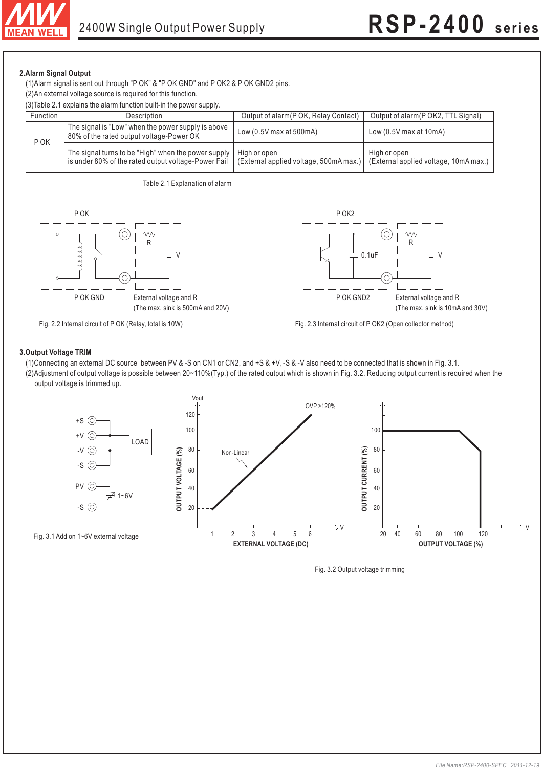

**2.Alarm Signal Output** (1)Alarm signal is sent out through "P OK" & "P OK GND" and P OK2 & P OK GND2 pins.

(2)An external voltage source is required for this function.

(3)Table 2.1 explains the alarm function built-in the power supply.

| Function | <b>Description</b>                                                                                         | Output of alarm (P OK, Relay Contact)                  | Output of alarm(P OK2, TTL Signal)                      |
|----------|------------------------------------------------------------------------------------------------------------|--------------------------------------------------------|---------------------------------------------------------|
| P OK     | The signal is "Low" when the power supply is above<br>80% of the rated output voltage-Power OK             | Low $(0.5V \text{ max at } 500 \text{ mA})$            | Low $(0.5V$ max at $10mA)$                              |
|          | The signal turns to be "High" when the power supply<br>is under 80% of the rated output voltage-Power Fail | High or open<br>(External applied voltage, 500mA max.) | High or open<br>  (External applied voltage, 10mA max.) |









Fig. 2.3 Internal circuit of P OK2 (Open collector method)

- (1)Connecting an external DC source between PV & -S on CN1 or CN2, and +S & +V, -S & -V also need to be connected that is shown in Fig. 3.1.
- (2)Adjustment of output voltage is possible between 20~110%(Typ.) of the rated output which is shown in Fig. 3.2. Reducing output current is required when the output voltage is trimmed up.



Fig. 3.2 Output voltage trimming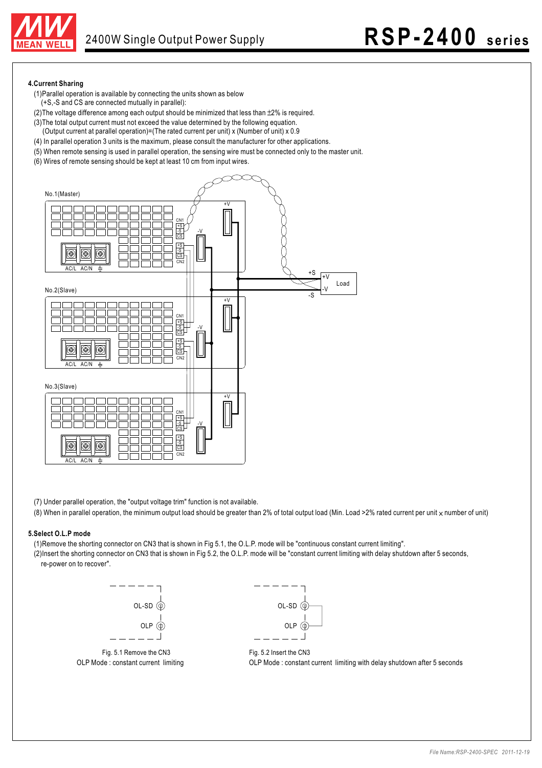

#### **4.Current Sharing**

- (1)Parallel operation is available by connecting the units shown as below
- (+S,-S and CS are connected mutually in parallel):
- (2) The voltage difference among each output should be minimized that less than  $\pm 2\%$  is required.
- (3)The total output current must not exceed the value determined by the following equation.
- (Output current at parallel operation)=(The rated current per unit) x (Number of unit) x 0.9
- (4) In parallel operation 3 units is the maximum, please consult the manufacturer for other applications.
- (5) When remote sensing is used in parallel operation, the sensing wire must be connected only to the master unit.
- (6) Wires of remote sensing should be kept at least 10 cm from input wires.



(7) Under parallel operation, the "output voltage trim" function is not available.

(8) When in parallel operation, the minimum output load should be greater than 2% of total output load (Min. Load >2% rated current per unit  $\times$  number of unit)

#### **5.Select O.L.P mode**

(1)Remove the shorting connector on CN3 that is shown in Fig 5.1, the O.L.P. mode will be "continuous constant current limiting".

(2)Insert the shorting connector on CN3 that is shown in Fig 5.2, the O.L.P. mode will be "constant current limiting with delay shutdown after 5 seconds, re-power on to recover".





OLP Mode : constant current limiting OLP Mode : constant current limiting with delay shutdown after 5 seconds